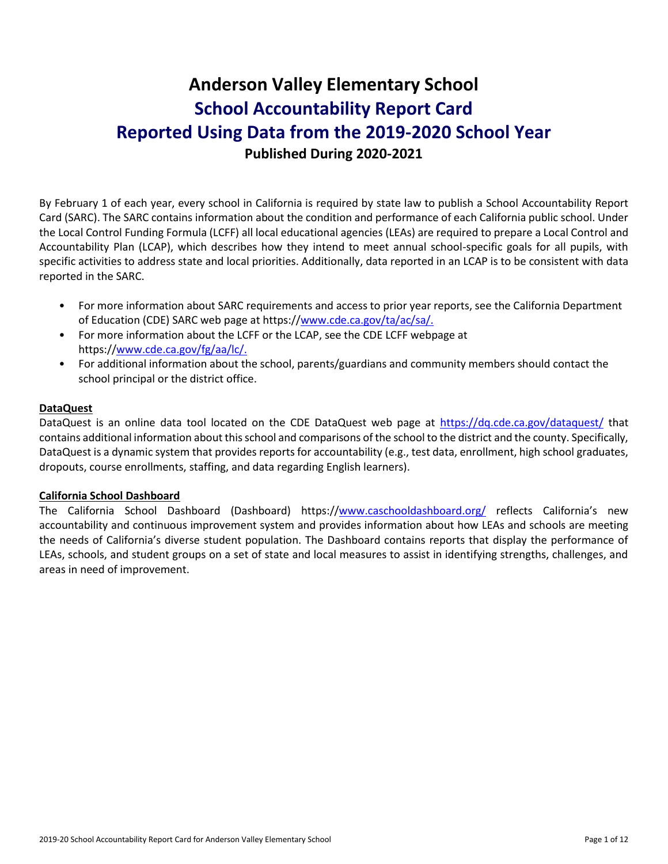# **Anderson Valley Elementary School School Accountability Report Card Reported Using Data from the 2019-2020 School Year Published During 2020-2021**

By February 1 of each year, every school in California is required by state law to publish a School Accountability Report Card (SARC). The SARC contains information about the condition and performance of each California public school. Under the Local Control Funding Formula (LCFF) all local educational agencies (LEAs) are required to prepare a Local Control and Accountability Plan (LCAP), which describes how they intend to meet annual school-specific goals for all pupils, with specific activities to address state and local priorities. Additionally, data reported in an LCAP is to be consistent with data reported in the SARC.

- For more information about SARC requirements and access to prior year reports, see the California Department of Education (CDE) SARC web page at https:/[/www.cde.ca.gov/ta/ac/sa/.](https://www.cde.ca.gov/ta/ac/sa/)
- For more information about the LCFF or the LCAP, see the CDE LCFF webpage at https:/[/www.cde.ca.gov/fg/aa/lc/.](https://www.cde.ca.gov/fg/aa/lc/)
- For additional information about the school, parents/guardians and community members should contact the school principal or the district office.

## **DataQuest**

DataQuest is an online data tool located on the CDE DataQuest web page at<https://dq.cde.ca.gov/dataquest/> that contains additional information about this school and comparisons of the school to the district and the county. Specifically, DataQuest is a dynamic system that provides reports for accountability (e.g., test data, enrollment, high school graduates, dropouts, course enrollments, staffing, and data regarding English learners).

## **California School Dashboard**

The California School Dashboard (Dashboard) https:/[/www.caschooldashboard.org/](https://www.caschooldashboard.org/) reflects California's new accountability and continuous improvement system and provides information about how LEAs and schools are meeting the needs of California's diverse student population. The Dashboard contains reports that display the performance of LEAs, schools, and student groups on a set of state and local measures to assist in identifying strengths, challenges, and areas in need of improvement.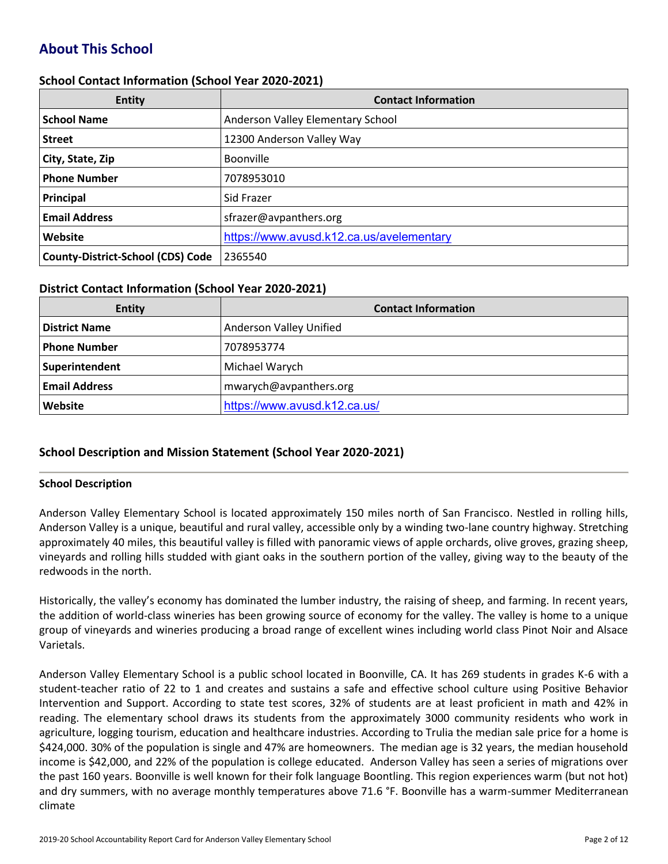## **About This School**

## **School Contact Information (School Year 2020-2021)**

| <b>Entity</b>                            | <b>Contact Information</b>               |
|------------------------------------------|------------------------------------------|
| <b>School Name</b>                       | Anderson Valley Elementary School        |
| <b>Street</b>                            | 12300 Anderson Valley Way                |
| City, State, Zip                         | <b>Boonville</b>                         |
| <b>Phone Number</b>                      | 7078953010                               |
| Principal                                | Sid Frazer                               |
| <b>Email Address</b>                     | sfrazer@avpanthers.org                   |
| Website                                  | https://www.avusd.k12.ca.us/avelementary |
| <b>County-District-School (CDS) Code</b> | 2365540                                  |

## **District Contact Information (School Year 2020-2021)**

| Entity               | <b>Contact Information</b>     |
|----------------------|--------------------------------|
| <b>District Name</b> | <b>Anderson Valley Unified</b> |
| Phone Number         | 7078953774                     |
| Superintendent       | Michael Warych                 |
| <b>Email Address</b> | mwarych@avpanthers.org         |
| Website              | https://www.avusd.k12.ca.us/   |

## **School Description and Mission Statement (School Year 2020-2021)**

## **School Description**

Anderson Valley Elementary School is located approximately 150 miles north of San Francisco. Nestled in rolling hills, Anderson Valley is a unique, beautiful and rural valley, accessible only by a winding two-lane country highway. Stretching approximately 40 miles, this beautiful valley is filled with panoramic views of apple orchards, olive groves, grazing sheep, vineyards and rolling hills studded with giant oaks in the southern portion of the valley, giving way to the beauty of the redwoods in the north.

Historically, the valley's economy has dominated the lumber industry, the raising of sheep, and farming. In recent years, the addition of world-class wineries has been growing source of economy for the valley. The valley is home to a unique group of vineyards and wineries producing a broad range of excellent wines including world class Pinot Noir and Alsace Varietals.

Anderson Valley Elementary School is a public school located in Boonville, CA. It has 269 students in grades K-6 with a student-teacher ratio of 22 to 1 and creates and sustains a safe and effective school culture using Positive Behavior Intervention and Support. According to state test scores, 32% of students are at least proficient in math and 42% in reading. The elementary school draws its students from the approximately 3000 community residents who work in agriculture, logging tourism, education and healthcare industries. According to Trulia the median sale price for a home is \$424,000. 30% of the population is single and 47% are homeowners. The median age is 32 years, the median household income is \$42,000, and 22% of the population is college educated. Anderson Valley has seen a series of migrations over the past 160 years. Boonville is well known for their folk language Boontling. This region experiences warm (but not hot) and dry summers, with no average monthly temperatures above 71.6 °F. Boonville has a warm-summer Mediterranean climate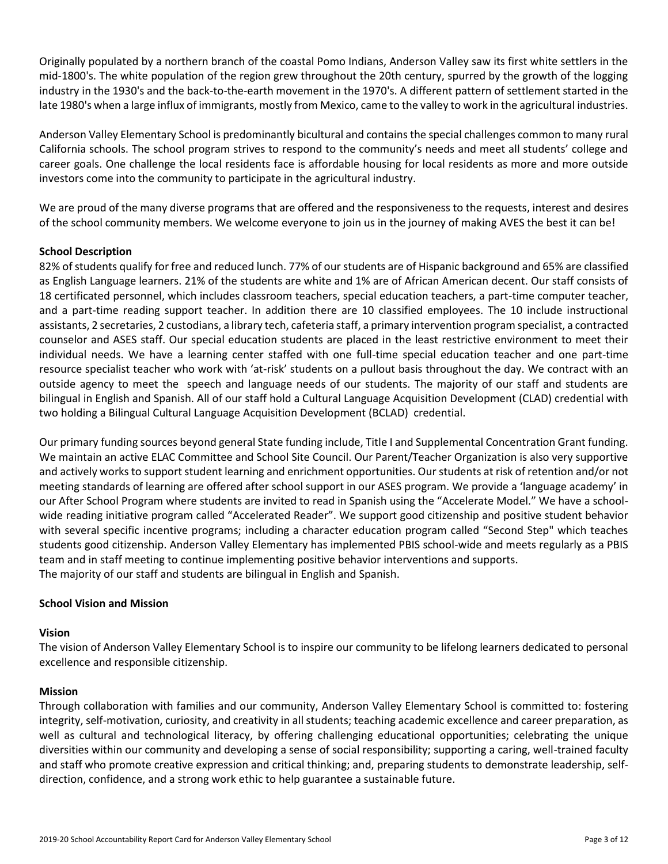Originally populated by a northern branch of the coastal Pomo Indians, Anderson Valley saw its first white settlers in the mid-1800's. The white population of the region grew throughout the 20th century, spurred by the growth of the logging industry in the 1930's and the back-to-the-earth movement in the 1970's. A different pattern of settlement started in the late 1980's when a large influx of immigrants, mostly from Mexico, came to the valley to work in the agricultural industries.

Anderson Valley Elementary School is predominantly bicultural and contains the special challenges common to many rural California schools. The school program strives to respond to the community's needs and meet all students' college and career goals. One challenge the local residents face is affordable housing for local residents as more and more outside investors come into the community to participate in the agricultural industry.

We are proud of the many diverse programs that are offered and the responsiveness to the requests, interest and desires of the school community members. We welcome everyone to join us in the journey of making AVES the best it can be!

## **School Description**

82% of students qualify for free and reduced lunch. 77% of our students are of Hispanic background and 65% are classified as English Language learners. 21% of the students are white and 1% are of African American decent. Our staff consists of 18 certificated personnel, which includes classroom teachers, special education teachers, a part-time computer teacher, and a part-time reading support teacher. In addition there are 10 classified employees. The 10 include instructional assistants, 2 secretaries, 2 custodians, a library tech, cafeteria staff, a primary intervention program specialist, a contracted counselor and ASES staff. Our special education students are placed in the least restrictive environment to meet their individual needs. We have a learning center staffed with one full-time special education teacher and one part-time resource specialist teacher who work with 'at-risk' students on a pullout basis throughout the day. We contract with an outside agency to meet the speech and language needs of our students. The majority of our staff and students are bilingual in English and Spanish. All of our staff hold a Cultural Language Acquisition Development (CLAD) credential with two holding a Bilingual Cultural Language Acquisition Development (BCLAD) credential.

Our primary funding sources beyond general State funding include, Title I and Supplemental Concentration Grant funding. We maintain an active ELAC Committee and School Site Council. Our Parent/Teacher Organization is also very supportive and actively works to support student learning and enrichment opportunities. Our students at risk of retention and/or not meeting standards of learning are offered after school support in our ASES program. We provide a 'language academy' in our After School Program where students are invited to read in Spanish using the "Accelerate Model." We have a schoolwide reading initiative program called "Accelerated Reader". We support good citizenship and positive student behavior with several specific incentive programs; including a character education program called "Second Step" which teaches students good citizenship. Anderson Valley Elementary has implemented PBIS school-wide and meets regularly as a PBIS team and in staff meeting to continue implementing positive behavior interventions and supports. The majority of our staff and students are bilingual in English and Spanish.

## **School Vision and Mission**

#### **Vision**

The vision of Anderson Valley Elementary School is to inspire our community to be lifelong learners dedicated to personal excellence and responsible citizenship.

## **Mission**

Through collaboration with families and our community, Anderson Valley Elementary School is committed to: fostering integrity, self-motivation, curiosity, and creativity in all students; teaching academic excellence and career preparation, as well as cultural and technological literacy, by offering challenging educational opportunities; celebrating the unique diversities within our community and developing a sense of social responsibility; supporting a caring, well-trained faculty and staff who promote creative expression and critical thinking; and, preparing students to demonstrate leadership, selfdirection, confidence, and a strong work ethic to help guarantee a sustainable future.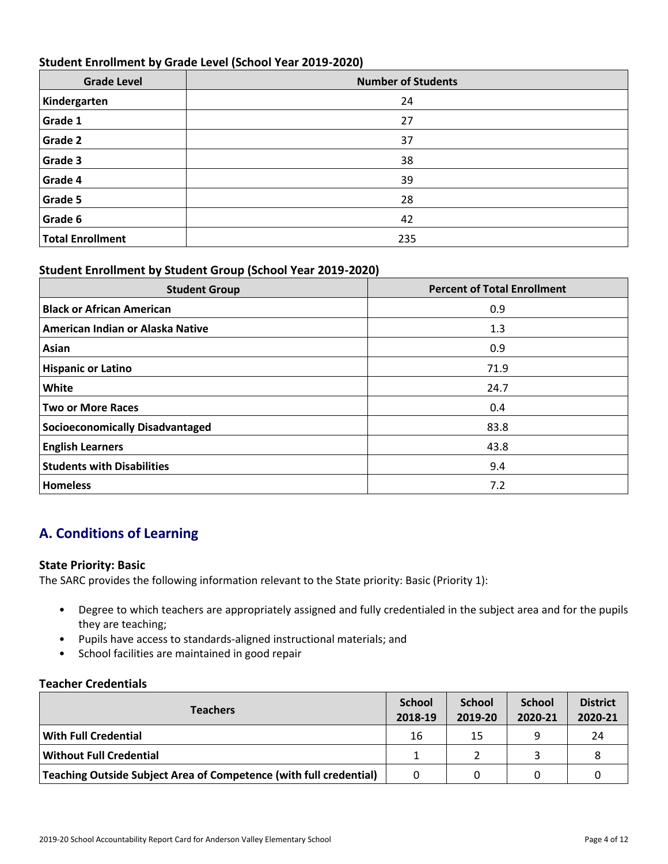## **Student Enrollment by Grade Level (School Year 2019-2020)**

| <b>Grade Level</b> | <b>Number of Students</b> |
|--------------------|---------------------------|
| Kindergarten       | 24                        |
| <b>Grade 1</b>     | 27                        |
| <b>Grade 2</b>     | 37                        |
| Grade 3            | 38                        |
| Grade 4            | 39                        |
| <b>Grade 5</b>     | 28                        |
| <b>Grade 6</b>     | 42                        |
| Total Enrollment   | 235                       |

## **Student Enrollment by Student Group (School Year 2019-2020)**

| <b>Student Group</b>                   | <b>Percent of Total Enrollment</b> |
|----------------------------------------|------------------------------------|
| <b>Black or African American</b>       | 0.9                                |
| American Indian or Alaska Native       | 1.3                                |
| Asian                                  | 0.9                                |
| <b>Hispanic or Latino</b>              | 71.9                               |
| <b>White</b>                           | 24.7                               |
| <b>Two or More Races</b>               | 0.4                                |
| <b>Socioeconomically Disadvantaged</b> | 83.8                               |
| <b>English Learners</b>                | 43.8                               |
| <b>Students with Disabilities</b>      | 9.4                                |
| <b>Homeless</b>                        | 7.2                                |

## **A. Conditions of Learning**

## **State Priority: Basic**

The SARC provides the following information relevant to the State priority: Basic (Priority 1):

- Degree to which teachers are appropriately assigned and fully credentialed in the subject area and for the pupils they are teaching;
- Pupils have access to standards-aligned instructional materials; and
- School facilities are maintained in good repair

## **Teacher Credentials**

| <b>Teachers</b>                                                    | <b>School</b><br>2018-19 | <b>School</b><br>2019-20 | <b>School</b><br>2020-21 | <b>District</b><br>2020-21 |
|--------------------------------------------------------------------|--------------------------|--------------------------|--------------------------|----------------------------|
| <b>With Full Credential</b>                                        | 16                       | 15                       | a                        | 24                         |
| <b>Without Full Credential</b>                                     |                          |                          |                          |                            |
| Teaching Outside Subject Area of Competence (with full credential) | $\Omega$                 |                          |                          |                            |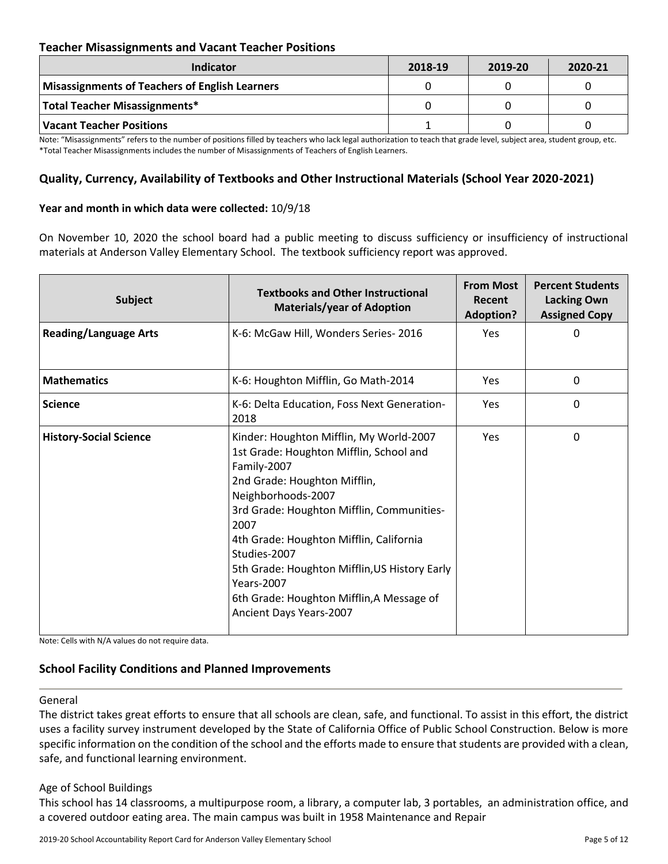## **Teacher Misassignments and Vacant Teacher Positions**

| <b>Indicator</b>                               | 2018-19 | 2019-20 | 2020-21 |
|------------------------------------------------|---------|---------|---------|
| Misassignments of Teachers of English Learners |         |         |         |
| Total Teacher Misassignments*                  |         |         |         |
| Vacant Teacher Positions                       |         |         |         |

Note: "Misassignments" refers to the number of positions filled by teachers who lack legal authorization to teach that grade level, subject area, student group, etc. \*Total Teacher Misassignments includes the number of Misassignments of Teachers of English Learners.

## **Quality, Currency, Availability of Textbooks and Other Instructional Materials (School Year 2020-2021)**

#### **Year and month in which data were collected:** 10/9/18

On November 10, 2020 the school board had a public meeting to discuss sufficiency or insufficiency of instructional materials at Anderson Valley Elementary School. The textbook sufficiency report was approved.

| <b>Subject</b>                | <b>Textbooks and Other Instructional</b><br><b>Materials/year of Adoption</b>                                                                                                                                                                                                                                                                                                                                         | <b>From Most</b><br>Recent<br><b>Adoption?</b> | <b>Percent Students</b><br><b>Lacking Own</b><br><b>Assigned Copy</b> |
|-------------------------------|-----------------------------------------------------------------------------------------------------------------------------------------------------------------------------------------------------------------------------------------------------------------------------------------------------------------------------------------------------------------------------------------------------------------------|------------------------------------------------|-----------------------------------------------------------------------|
| <b>Reading/Language Arts</b>  | K-6: McGaw Hill, Wonders Series-2016                                                                                                                                                                                                                                                                                                                                                                                  | <b>Yes</b>                                     | 0                                                                     |
| <b>Mathematics</b>            | K-6: Houghton Mifflin, Go Math-2014                                                                                                                                                                                                                                                                                                                                                                                   | Yes                                            | 0                                                                     |
| <b>Science</b>                | K-6: Delta Education, Foss Next Generation-<br>2018                                                                                                                                                                                                                                                                                                                                                                   | Yes                                            | 0                                                                     |
| <b>History-Social Science</b> | Kinder: Houghton Mifflin, My World-2007<br>1st Grade: Houghton Mifflin, School and<br>Family-2007<br>2nd Grade: Houghton Mifflin,<br>Neighborhoods-2007<br>3rd Grade: Houghton Mifflin, Communities-<br>2007<br>4th Grade: Houghton Mifflin, California<br>Studies-2007<br>5th Grade: Houghton Mifflin, US History Early<br><b>Years-2007</b><br>6th Grade: Houghton Mifflin, A Message of<br>Ancient Days Years-2007 | <b>Yes</b>                                     | 0                                                                     |

Note: Cells with N/A values do not require data.

## **School Facility Conditions and Planned Improvements**

#### General

The district takes great efforts to ensure that all schools are clean, safe, and functional. To assist in this effort, the district uses a facility survey instrument developed by the State of California Office of Public School Construction. Below is more specific information on the condition of the school and the efforts made to ensure that students are provided with a clean, safe, and functional learning environment.

#### Age of School Buildings

This school has 14 classrooms, a multipurpose room, a library, a computer lab, 3 portables, an administration office, and a covered outdoor eating area. The main campus was built in 1958 Maintenance and Repair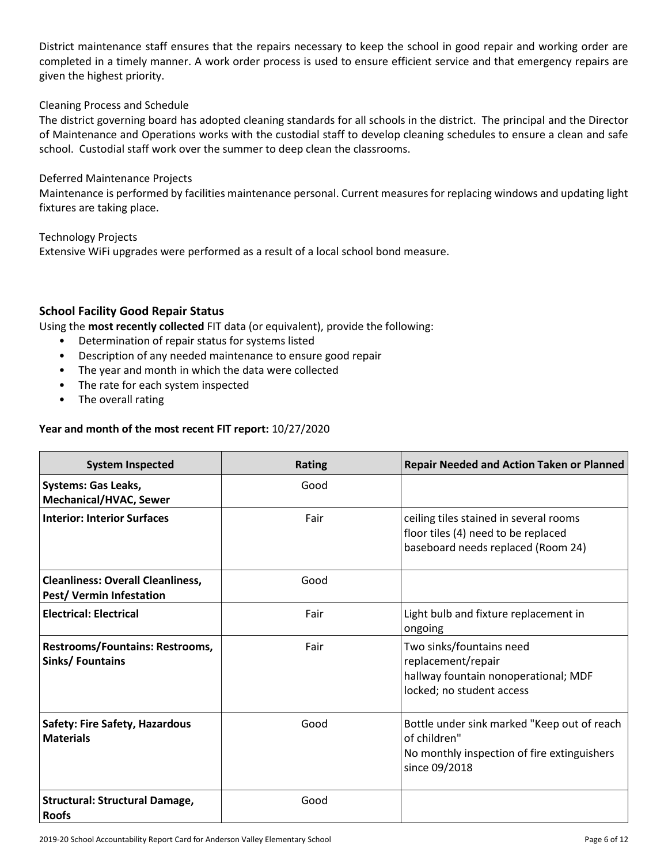District maintenance staff ensures that the repairs necessary to keep the school in good repair and working order are completed in a timely manner. A work order process is used to ensure efficient service and that emergency repairs are given the highest priority.

## Cleaning Process and Schedule

The district governing board has adopted cleaning standards for all schools in the district. The principal and the Director of Maintenance and Operations works with the custodial staff to develop cleaning schedules to ensure a clean and safe school. Custodial staff work over the summer to deep clean the classrooms.

#### Deferred Maintenance Projects

Maintenance is performed by facilities maintenance personal. Current measures for replacing windows and updating light fixtures are taking place.

Technology Projects

Extensive WiFi upgrades were performed as a result of a local school bond measure.

## **School Facility Good Repair Status**

Using the **most recently collected** FIT data (or equivalent), provide the following:

- Determination of repair status for systems listed
- Description of any needed maintenance to ensure good repair
- The year and month in which the data were collected
- The rate for each system inspected
- The overall rating

## **Year and month of the most recent FIT report:** 10/27/2020

| <b>System Inspected</b>                                             | <b>Rating</b> | <b>Repair Needed and Action Taken or Planned</b>                                                                            |
|---------------------------------------------------------------------|---------------|-----------------------------------------------------------------------------------------------------------------------------|
| <b>Systems: Gas Leaks,</b><br>Mechanical/HVAC, Sewer                | Good          |                                                                                                                             |
| <b>Interior: Interior Surfaces</b>                                  | Fair          | ceiling tiles stained in several rooms<br>floor tiles (4) need to be replaced<br>baseboard needs replaced (Room 24)         |
| <b>Cleanliness: Overall Cleanliness,</b><br>Pest/Vermin Infestation | Good          |                                                                                                                             |
| <b>Electrical: Electrical</b>                                       | Fair          | Light bulb and fixture replacement in<br>ongoing                                                                            |
| <b>Restrooms/Fountains: Restrooms,</b><br>Sinks/Fountains           | Fair          | Two sinks/fountains need<br>replacement/repair<br>hallway fountain nonoperational; MDF<br>locked; no student access         |
| <b>Safety: Fire Safety, Hazardous</b><br><b>Materials</b>           | Good          | Bottle under sink marked "Keep out of reach<br>of children"<br>No monthly inspection of fire extinguishers<br>since 09/2018 |
| <b>Structural: Structural Damage,</b><br><b>Roofs</b>               | Good          |                                                                                                                             |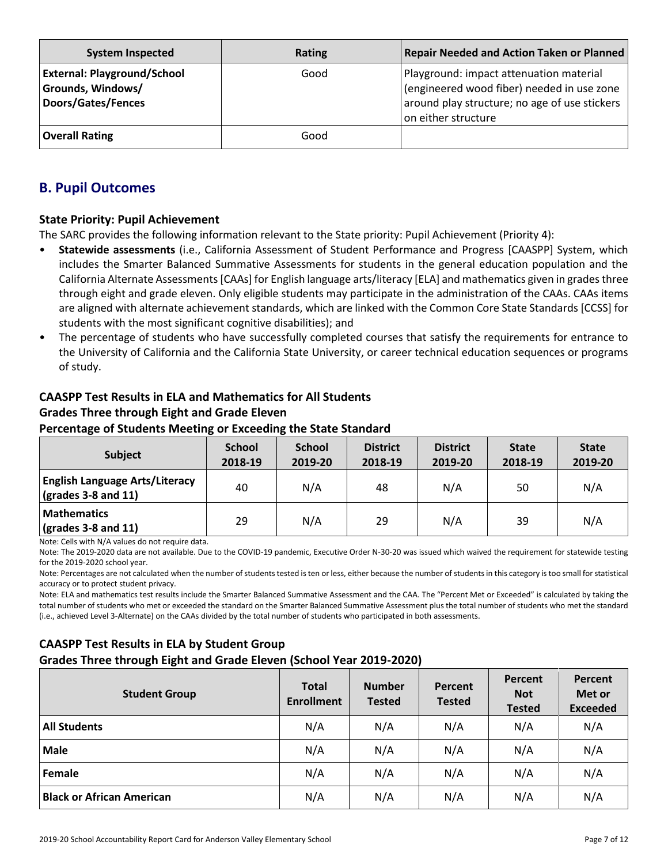| <b>System Inspected</b>                                                       | Rating | Repair Needed and Action Taken or Planned                                                                                                                     |
|-------------------------------------------------------------------------------|--------|---------------------------------------------------------------------------------------------------------------------------------------------------------------|
| <b>External: Playground/School</b><br>Grounds, Windows/<br>Doors/Gates/Fences | Good   | Playground: impact attenuation material<br>(engineered wood fiber) needed in use zone<br>around play structure; no age of use stickers<br>on either structure |
| <b>Overall Rating</b>                                                         | Good   |                                                                                                                                                               |

## **B. Pupil Outcomes**

## **State Priority: Pupil Achievement**

The SARC provides the following information relevant to the State priority: Pupil Achievement (Priority 4):

- **Statewide assessments** (i.e., California Assessment of Student Performance and Progress [CAASPP] System, which includes the Smarter Balanced Summative Assessments for students in the general education population and the California Alternate Assessments [CAAs] for English language arts/literacy [ELA] and mathematics given in grades three through eight and grade eleven. Only eligible students may participate in the administration of the CAAs. CAAs items are aligned with alternate achievement standards, which are linked with the Common Core State Standards [CCSS] for students with the most significant cognitive disabilities); and
- The percentage of students who have successfully completed courses that satisfy the requirements for entrance to the University of California and the California State University, or career technical education sequences or programs of study.

## **CAASPP Test Results in ELA and Mathematics for All Students Grades Three through Eight and Grade Eleven Percentage of Students Meeting or Exceeding the State Standard**

| <b>Subject</b>                                                       | <b>School</b><br>2018-19 | <b>School</b><br>2019-20 | <b>District</b><br>2018-19 | <b>District</b><br>2019-20 | <b>State</b><br>2018-19 | <b>State</b><br>2019-20 |
|----------------------------------------------------------------------|--------------------------|--------------------------|----------------------------|----------------------------|-------------------------|-------------------------|
| <b>English Language Arts/Literacy</b><br>$\vert$ (grades 3-8 and 11) | 40                       | N/A                      | 48                         | N/A                        | 50                      | N/A                     |
| <b>Mathematics</b><br>$\vert$ (grades 3-8 and 11)                    | 29                       | N/A                      | 29                         | N/A                        | 39                      | N/A                     |

Note: Cells with N/A values do not require data.

Note: The 2019-2020 data are not available. Due to the COVID-19 pandemic, Executive Order N-30-20 was issued which waived the requirement for statewide testing for the 2019-2020 school year.

Note: Percentages are not calculated when the number of students tested is ten or less, either because the number of students in this category is too small for statistical accuracy or to protect student privacy.

Note: ELA and mathematics test results include the Smarter Balanced Summative Assessment and the CAA. The "Percent Met or Exceeded" is calculated by taking the total number of students who met or exceeded the standard on the Smarter Balanced Summative Assessment plus the total number of students who met the standard (i.e., achieved Level 3-Alternate) on the CAAs divided by the total number of students who participated in both assessments.

## **CAASPP Test Results in ELA by Student Group**

**Grades Three through Eight and Grade Eleven (School Year 2019-2020)**

| <b>Student Group</b>             | <b>Total</b><br><b>Enrollment</b> | <b>Number</b><br><b>Tested</b> | <b>Percent</b><br><b>Tested</b> | Percent<br><b>Not</b><br><b>Tested</b> | <b>Percent</b><br>Met or<br><b>Exceeded</b> |
|----------------------------------|-----------------------------------|--------------------------------|---------------------------------|----------------------------------------|---------------------------------------------|
| <b>All Students</b>              | N/A                               | N/A                            | N/A                             | N/A                                    | N/A                                         |
| <b>Male</b>                      | N/A                               | N/A                            | N/A                             | N/A                                    | N/A                                         |
| Female                           | N/A                               | N/A                            | N/A                             | N/A                                    | N/A                                         |
| <b>Black or African American</b> | N/A                               | N/A                            | N/A                             | N/A                                    | N/A                                         |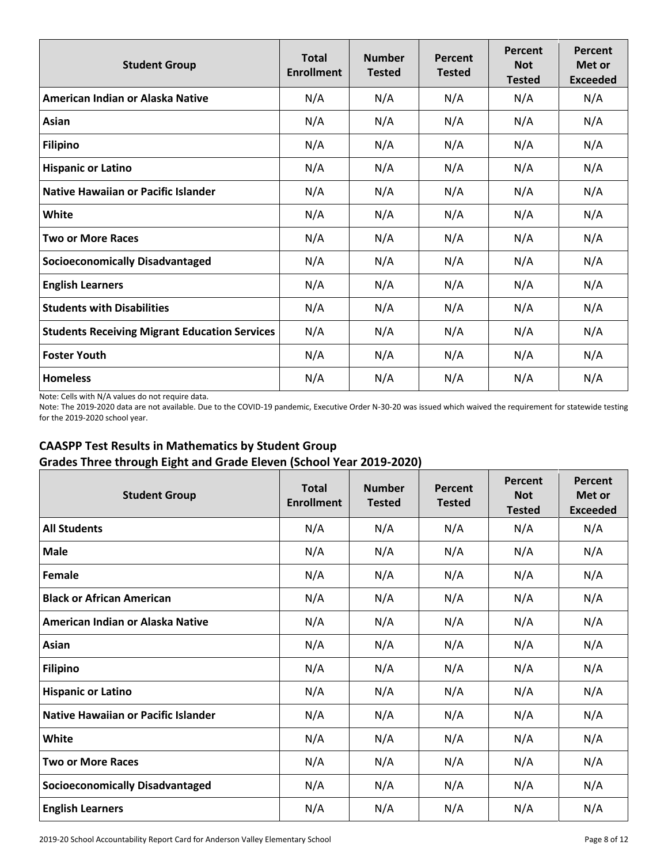| <b>Student Group</b>                                 | <b>Total</b><br><b>Enrollment</b> | <b>Number</b><br><b>Tested</b> | Percent<br><b>Tested</b> | Percent<br><b>Not</b><br><b>Tested</b> | Percent<br>Met or<br><b>Exceeded</b> |
|------------------------------------------------------|-----------------------------------|--------------------------------|--------------------------|----------------------------------------|--------------------------------------|
| American Indian or Alaska Native                     | N/A                               | N/A                            | N/A                      | N/A                                    | N/A                                  |
| Asian                                                | N/A                               | N/A                            | N/A                      | N/A                                    | N/A                                  |
| <b>Filipino</b>                                      | N/A                               | N/A                            | N/A                      | N/A                                    | N/A                                  |
| <b>Hispanic or Latino</b>                            | N/A                               | N/A                            | N/A                      | N/A                                    | N/A                                  |
| Native Hawaiian or Pacific Islander                  | N/A                               | N/A                            | N/A                      | N/A                                    | N/A                                  |
| White                                                | N/A                               | N/A                            | N/A                      | N/A                                    | N/A                                  |
| <b>Two or More Races</b>                             | N/A                               | N/A                            | N/A                      | N/A                                    | N/A                                  |
| <b>Socioeconomically Disadvantaged</b>               | N/A                               | N/A                            | N/A                      | N/A                                    | N/A                                  |
| <b>English Learners</b>                              | N/A                               | N/A                            | N/A                      | N/A                                    | N/A                                  |
| <b>Students with Disabilities</b>                    | N/A                               | N/A                            | N/A                      | N/A                                    | N/A                                  |
| <b>Students Receiving Migrant Education Services</b> | N/A                               | N/A                            | N/A                      | N/A                                    | N/A                                  |
| <b>Foster Youth</b>                                  | N/A                               | N/A                            | N/A                      | N/A                                    | N/A                                  |
| <b>Homeless</b>                                      | N/A                               | N/A                            | N/A                      | N/A                                    | N/A                                  |

Note: Cells with N/A values do not require data.

Note: The 2019-2020 data are not available. Due to the COVID-19 pandemic, Executive Order N-30-20 was issued which waived the requirement for statewide testing for the 2019-2020 school year.

## **CAASPP Test Results in Mathematics by Student Group Grades Three through Eight and Grade Eleven (School Year 2019-2020)**

| <b>Student Group</b>                       | <b>Total</b><br><b>Enrollment</b> | <b>Number</b><br><b>Tested</b> | Percent<br><b>Tested</b> | Percent<br><b>Not</b><br><b>Tested</b> | Percent<br>Met or<br><b>Exceeded</b> |
|--------------------------------------------|-----------------------------------|--------------------------------|--------------------------|----------------------------------------|--------------------------------------|
| <b>All Students</b>                        | N/A                               | N/A                            | N/A                      | N/A                                    | N/A                                  |
| <b>Male</b>                                | N/A                               | N/A                            | N/A                      | N/A                                    | N/A                                  |
| Female                                     | N/A                               | N/A                            | N/A                      | N/A                                    | N/A                                  |
| <b>Black or African American</b>           | N/A                               | N/A                            | N/A                      | N/A                                    | N/A                                  |
| American Indian or Alaska Native           | N/A                               | N/A                            | N/A                      | N/A                                    | N/A                                  |
| Asian                                      | N/A                               | N/A                            | N/A                      | N/A                                    | N/A                                  |
| <b>Filipino</b>                            | N/A                               | N/A                            | N/A                      | N/A                                    | N/A                                  |
| <b>Hispanic or Latino</b>                  | N/A                               | N/A                            | N/A                      | N/A                                    | N/A                                  |
| <b>Native Hawaiian or Pacific Islander</b> | N/A                               | N/A                            | N/A                      | N/A                                    | N/A                                  |
| White                                      | N/A                               | N/A                            | N/A                      | N/A                                    | N/A                                  |
| <b>Two or More Races</b>                   | N/A                               | N/A                            | N/A                      | N/A                                    | N/A                                  |
| <b>Socioeconomically Disadvantaged</b>     | N/A                               | N/A                            | N/A                      | N/A                                    | N/A                                  |
| <b>English Learners</b>                    | N/A                               | N/A                            | N/A                      | N/A                                    | N/A                                  |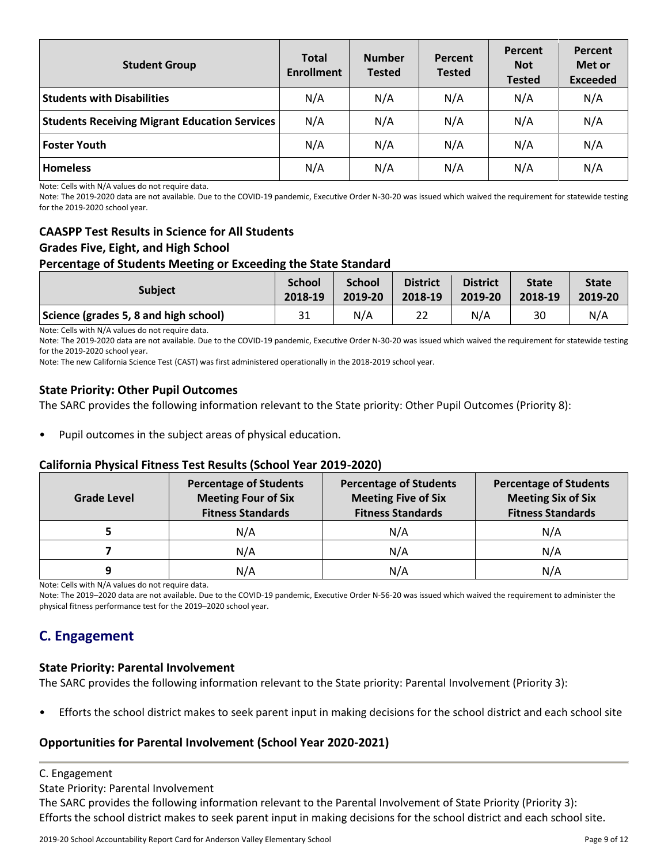| <b>Student Group</b>                                 | <b>Total</b><br><b>Enrollment</b> | <b>Number</b><br><b>Tested</b> | Percent<br><b>Tested</b> | Percent<br><b>Not</b><br><b>Tested</b> | Percent<br>Met or<br><b>Exceeded</b> |
|------------------------------------------------------|-----------------------------------|--------------------------------|--------------------------|----------------------------------------|--------------------------------------|
| <b>Students with Disabilities</b>                    | N/A                               | N/A                            | N/A                      | N/A                                    | N/A                                  |
| <b>Students Receiving Migrant Education Services</b> | N/A                               | N/A                            | N/A                      | N/A                                    | N/A                                  |
| <b>Foster Youth</b>                                  | N/A                               | N/A                            | N/A                      | N/A                                    | N/A                                  |
| <b>Homeless</b>                                      | N/A                               | N/A                            | N/A                      | N/A                                    | N/A                                  |

Note: Cells with N/A values do not require data.

Note: The 2019-2020 data are not available. Due to the COVID-19 pandemic, Executive Order N-30-20 was issued which waived the requirement for statewide testing for the 2019-2020 school year.

## **CAASPP Test Results in Science for All Students Grades Five, Eight, and High School Percentage of Students Meeting or Exceeding the State Standard**

| <b>Subject</b>                        | <b>School</b> | <b>School</b> | <b>District</b> | <b>District</b> | <b>State</b> | <b>State</b> |
|---------------------------------------|---------------|---------------|-----------------|-----------------|--------------|--------------|
|                                       | 2018-19       | 2019-20       | 2018-19         | 2019-20         | 2018-19      | 2019-20      |
| Science (grades 5, 8 and high school) | 31            | N/A           | 22              | N/A             | 30           | N/A          |

Note: Cells with N/A values do not require data.

Note: The 2019-2020 data are not available. Due to the COVID-19 pandemic, Executive Order N-30-20 was issued which waived the requirement for statewide testing for the 2019-2020 school year.

Note: The new California Science Test (CAST) was first administered operationally in the 2018-2019 school year.

## **State Priority: Other Pupil Outcomes**

The SARC provides the following information relevant to the State priority: Other Pupil Outcomes (Priority 8):

Pupil outcomes in the subject areas of physical education.

#### **California Physical Fitness Test Results (School Year 2019-2020)**

| <b>Grade Level</b> | <b>Percentage of Students</b><br><b>Meeting Four of Six</b><br><b>Fitness Standards</b> | <b>Percentage of Students</b><br><b>Meeting Five of Six</b><br><b>Fitness Standards</b> | <b>Percentage of Students</b><br><b>Meeting Six of Six</b><br><b>Fitness Standards</b> |  |  |
|--------------------|-----------------------------------------------------------------------------------------|-----------------------------------------------------------------------------------------|----------------------------------------------------------------------------------------|--|--|
|                    | N/A                                                                                     | N/A                                                                                     | N/A                                                                                    |  |  |
|                    | N/A                                                                                     | N/A                                                                                     | N/A                                                                                    |  |  |
| 9                  | N/A                                                                                     | N/A                                                                                     | N/A                                                                                    |  |  |

Note: Cells with N/A values do not require data.

Note: The 2019–2020 data are not available. Due to the COVID-19 pandemic, Executive Order N-56-20 was issued which waived the requirement to administer the physical fitness performance test for the 2019–2020 school year.

## **C. Engagement**

#### **State Priority: Parental Involvement**

The SARC provides the following information relevant to the State priority: Parental Involvement (Priority 3):

• Efforts the school district makes to seek parent input in making decisions for the school district and each school site

## **Opportunities for Parental Involvement (School Year 2020-2021)**

C. Engagement

State Priority: Parental Involvement

The SARC provides the following information relevant to the Parental Involvement of State Priority (Priority 3): Efforts the school district makes to seek parent input in making decisions for the school district and each school site.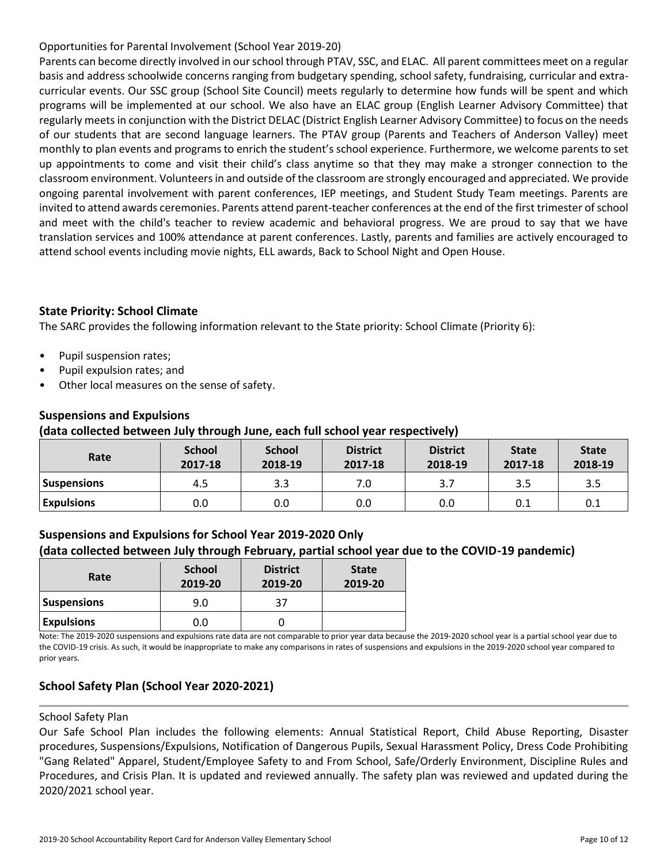## Opportunities for Parental Involvement (School Year 2019-20)

Parents can become directly involved in our school through PTAV, SSC, and ELAC. All parent committees meet on a regular basis and address schoolwide concerns ranging from budgetary spending, school safety, fundraising, curricular and extracurricular events. Our SSC group (School Site Council) meets regularly to determine how funds will be spent and which programs will be implemented at our school. We also have an ELAC group (English Learner Advisory Committee) that regularly meets in conjunction with the District DELAC (District English Learner Advisory Committee) to focus on the needs of our students that are second language learners. The PTAV group (Parents and Teachers of Anderson Valley) meet monthly to plan events and programs to enrich the student's school experience. Furthermore, we welcome parents to set up appointments to come and visit their child's class anytime so that they may make a stronger connection to the classroom environment. Volunteers in and outside of the classroom are strongly encouraged and appreciated. We provide ongoing parental involvement with parent conferences, IEP meetings, and Student Study Team meetings. Parents are invited to attend awards ceremonies. Parents attend parent-teacher conferences at the end of the first trimester of school and meet with the child's teacher to review academic and behavioral progress. We are proud to say that we have translation services and 100% attendance at parent conferences. Lastly, parents and families are actively encouraged to attend school events including movie nights, ELL awards, Back to School Night and Open House.

## **State Priority: School Climate**

The SARC provides the following information relevant to the State priority: School Climate (Priority 6):

- Pupil suspension rates;
- Pupil expulsion rates; and
- Other local measures on the sense of safety.

## **Suspensions and Expulsions**

## **(data collected between July through June, each full school year respectively)**

| Rate              | <b>School</b><br>2017-18 | <b>School</b><br>2018-19 | <b>District</b><br>2017-18 | <b>District</b><br>2018-19 | <b>State</b><br>2017-18 | <b>State</b><br>2018-19 |
|-------------------|--------------------------|--------------------------|----------------------------|----------------------------|-------------------------|-------------------------|
| Suspensions       | 4.5                      | 3.3                      |                            | 3.7                        | 3.5                     | 3.5                     |
| <b>Expulsions</b> | 0.0                      | 0.0                      | 0.0                        | 0.0                        | 0.1                     | 0.1                     |

## **Suspensions and Expulsions for School Year 2019-2020 Only**

## **(data collected between July through February, partial school year due to the COVID-19 pandemic)**

| Rate               | <b>School</b><br>2019-20 | <b>District</b><br>2019-20 | <b>State</b><br>2019-20 |
|--------------------|--------------------------|----------------------------|-------------------------|
| <b>Suspensions</b> | 9.0                      | 37                         |                         |
| <b>Expulsions</b>  | 0.0                      |                            |                         |

Note: The 2019-2020 suspensions and expulsions rate data are not comparable to prior year data because the 2019-2020 school year is a partial school year due to the COVID-19 crisis. As such, it would be inappropriate to make any comparisons in rates of suspensions and expulsions in the 2019-2020 school year compared to prior years.

## **School Safety Plan (School Year 2020-2021)**

#### School Safety Plan

Our Safe School Plan includes the following elements: Annual Statistical Report, Child Abuse Reporting, Disaster procedures, Suspensions/Expulsions, Notification of Dangerous Pupils, Sexual Harassment Policy, Dress Code Prohibiting "Gang Related" Apparel, Student/Employee Safety to and From School, Safe/Orderly Environment, Discipline Rules and Procedures, and Crisis Plan. It is updated and reviewed annually. The safety plan was reviewed and updated during the 2020/2021 school year.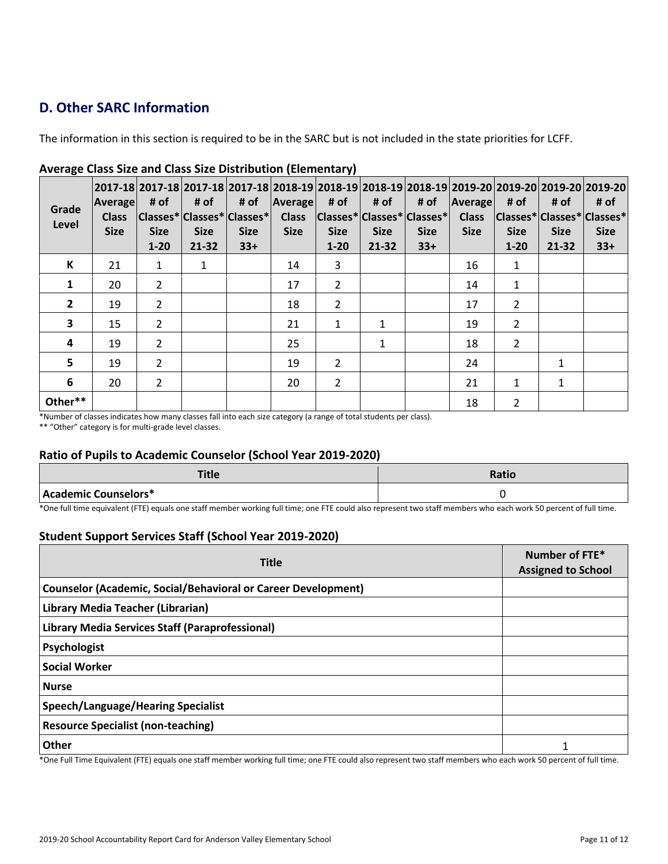## **D. Other SARC Information**

The information in this section is required to be in the SARC but is not included in the state priorities for LCFF.

| Grade<br>Level          | <b>Average</b><br><b>Class</b><br><b>Size</b> | # of<br><b>Size</b><br>$1 - 20$ | # of<br><b>Size</b><br>21-32 | # of<br> Classes* Classes* Classes* <br><b>Size</b><br>$33+$ | <b>Average</b><br><b>Class</b><br><b>Size</b> | # of<br><b>Size</b><br>$1 - 20$ | 2017-18 2017-18 2017-18 2017-18 2018-19 2018-19 2018-19 2018-19 2019-20 2019-20 2019-20 2019-20 <br># of<br>$ Classes^* Classes^* Classes^* $<br><b>Size</b><br>21-32 | # of<br><b>Size</b><br>$33+$ | Average<br><b>Class</b><br><b>Size</b> | # of<br> Classes* Classes* Classes* <br><b>Size</b><br>$1 - 20$ | # of<br><b>Size</b><br>21-32 | # of<br><b>Size</b><br>$33+$ |
|-------------------------|-----------------------------------------------|---------------------------------|------------------------------|--------------------------------------------------------------|-----------------------------------------------|---------------------------------|-----------------------------------------------------------------------------------------------------------------------------------------------------------------------|------------------------------|----------------------------------------|-----------------------------------------------------------------|------------------------------|------------------------------|
| К                       | 21                                            | $\mathbf{1}$                    | 1                            |                                                              | 14                                            | 3                               |                                                                                                                                                                       |                              | 16                                     | 1                                                               |                              |                              |
| $\mathbf{1}$            | 20                                            | $\overline{2}$                  |                              |                                                              | 17                                            | $\overline{2}$                  |                                                                                                                                                                       |                              | 14                                     | 1                                                               |                              |                              |
| $\overline{2}$          | 19                                            | $\mathcal{P}$                   |                              |                                                              | 18                                            | 2                               |                                                                                                                                                                       |                              | 17                                     | 2                                                               |                              |                              |
| $\overline{\mathbf{3}}$ | 15                                            | $\overline{2}$                  |                              |                                                              | 21                                            | $\mathbf{1}$                    | $\mathbf{1}$                                                                                                                                                          |                              | 19                                     | $\overline{2}$                                                  |                              |                              |
| 4                       | 19                                            | $\overline{2}$                  |                              |                                                              | 25                                            |                                 | 1                                                                                                                                                                     |                              | 18                                     | $\overline{2}$                                                  |                              |                              |
| 5                       | 19                                            | $\overline{2}$                  |                              |                                                              | 19                                            | $\overline{2}$                  |                                                                                                                                                                       |                              | 24                                     |                                                                 | 1                            |                              |
| $6\phantom{1}$          | 20                                            | $\mathcal{P}$                   |                              |                                                              | 20                                            | $\overline{2}$                  |                                                                                                                                                                       |                              | 21                                     | $\mathbf{1}$                                                    | $\mathbf{1}$                 |                              |
| Other**                 |                                               |                                 |                              |                                                              |                                               |                                 |                                                                                                                                                                       |                              | 18                                     | 2                                                               |                              |                              |

## **Average Class Size and Class Size Distribution (Elementary)**

\*Number of classes indicates how many classes fall into each size category (a range of total students per class).

\*\* "Other" category is for multi-grade level classes.

## **Ratio of Pupils to Academic Counselor (School Year 2019-2020)**

| <b>Title</b>         | <b>Ratio</b> |
|----------------------|--------------|
| Academic Counselors* |              |

\*One full time equivalent (FTE) equals one staff member working full time; one FTE could also represent two staff members who each work 50 percent of full time.

## **Student Support Services Staff (School Year 2019-2020)**

| <b>Title</b>                                                                                                                                                                                                                                                                                           | Number of FTE*<br><b>Assigned to School</b> |  |  |
|--------------------------------------------------------------------------------------------------------------------------------------------------------------------------------------------------------------------------------------------------------------------------------------------------------|---------------------------------------------|--|--|
| <b>Counselor (Academic, Social/Behavioral or Career Development)</b>                                                                                                                                                                                                                                   |                                             |  |  |
| Library Media Teacher (Librarian)                                                                                                                                                                                                                                                                      |                                             |  |  |
| <b>Library Media Services Staff (Paraprofessional)</b>                                                                                                                                                                                                                                                 |                                             |  |  |
| Psychologist                                                                                                                                                                                                                                                                                           |                                             |  |  |
| <b>Social Worker</b>                                                                                                                                                                                                                                                                                   |                                             |  |  |
| <b>Nurse</b>                                                                                                                                                                                                                                                                                           |                                             |  |  |
| Speech/Language/Hearing Specialist                                                                                                                                                                                                                                                                     |                                             |  |  |
| <b>Resource Specialist (non-teaching)</b>                                                                                                                                                                                                                                                              |                                             |  |  |
| Other<br>$\tau$ , $\tau$ , $\tau$ , $\tau$ , $\tau$ , $\tau$ , $\tau$ , $\tau$ , $\tau$ , $\tau$ , $\tau$ , $\tau$ , $\tau$ , $\tau$ , $\tau$ , $\tau$ , $\tau$ , $\tau$ , $\tau$ , $\tau$ , $\tau$ , $\tau$ , $\tau$ , $\tau$ , $\tau$ , $\tau$ , $\tau$ , $\tau$ , $\tau$ , $\tau$ , $\tau$ , $\tau$ | 1                                           |  |  |

\*One Full Time Equivalent (FTE) equals one staff member working full time; one FTE could also represent two staff members who each work 50 percent of full time.